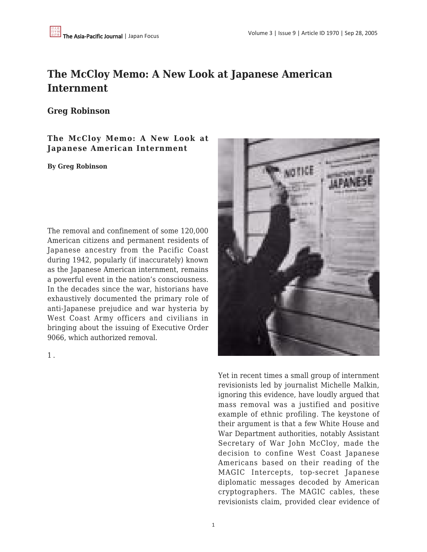## **The McCloy Memo: A New Look at Japanese American Internment**

## **Greg Robinson**

## **The McCloy Memo: A New Look at Japanese American Internment**

## **By Greg Robinson**

The removal and confinement of some 120,000 American citizens and permanent residents of Japanese ancestry from the Pacific Coast during 1942, popularly (if inaccurately) known as the Japanese American internment, remains a powerful event in the nation's consciousness. In the decades since the war, historians have exhaustively documented the primary role of anti-Japanese prejudice and war hysteria by West Coast Army officers and civilians in bringing about the issuing of Executive Order 9066, which authorized removal.

1 .



Yet in recent times a small group of internment revisionists led by journalist Michelle Malkin, ignoring this evidence, have loudly argued that mass removal was a justified and positive example of ethnic profiling. The keystone of their argument is that a few White House and War Department authorities, notably Assistant Secretary of War John McCloy, made the decision to confine West Coast Japanese Americans based on their reading of the MAGIC Intercepts, top-secret Japanese diplomatic messages decoded by American cryptographers. The MAGIC cables, these revisionists claim, provided clear evidence of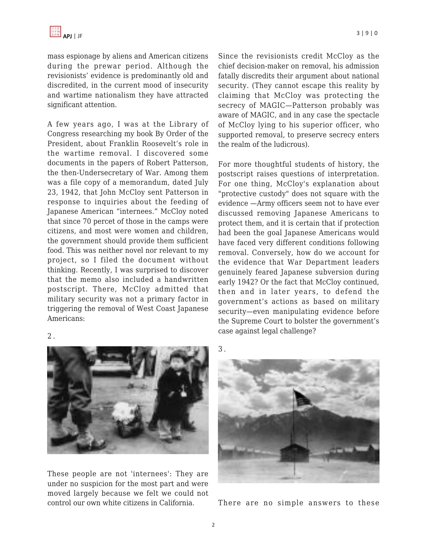mass espionage by aliens and American citizens during the prewar period. Although the revisionists' evidence is predominantly old and discredited, in the current mood of insecurity and wartime nationalism they have attracted significant attention.

A few years ago, I was at the Library of Congress researching my book By Order of the President, about Franklin Roosevelt's role in the wartime removal. I discovered some documents in the papers of Robert Patterson, the then-Undersecretary of War. Among them was a file copy of a memorandum, dated July 23, 1942, that John McCloy sent Patterson in response to inquiries about the feeding of Japanese American "internees." McCloy noted that since 70 percet of those in the camps were citizens, and most were women and children, the government should provide them sufficient food. This was neither novel nor relevant to my project, so I filed the document without thinking. Recently, I was surprised to discover that the memo also included a handwritten postscript. There, McCloy admitted that military security was not a primary factor in triggering the removal of West Coast Japanese Americans:

Since the revisionists credit McCloy as the chief decision-maker on removal, his admission fatally discredits their argument about national security. (They cannot escape this reality by claiming that McCloy was protecting the secrecy of MAGIC—Patterson probably was aware of MAGIC, and in any case the spectacle of McCloy lying to his superior officer, who supported removal, to preserve secrecy enters the realm of the ludicrous).

For more thoughtful students of history, the postscript raises questions of interpretation. For one thing, McCloy's explanation about "protective custody" does not square with the evidence —Army officers seem not to have ever discussed removing Japanese Americans to protect them, and it is certain that if protection had been the goal Japanese Americans would have faced very different conditions following removal. Conversely, how do we account for the evidence that War Department leaders genuinely feared Japanese subversion during early 1942? Or the fact that McCloy continued, then and in later years, to defend the government's actions as based on military security—even manipulating evidence before the Supreme Court to bolster the government's case against legal challenge?

3 .



There are no simple answers to these

2 .



These people are not 'internees': They are under no suspicion for the most part and were moved largely because we felt we could not control our own white citizens in California.